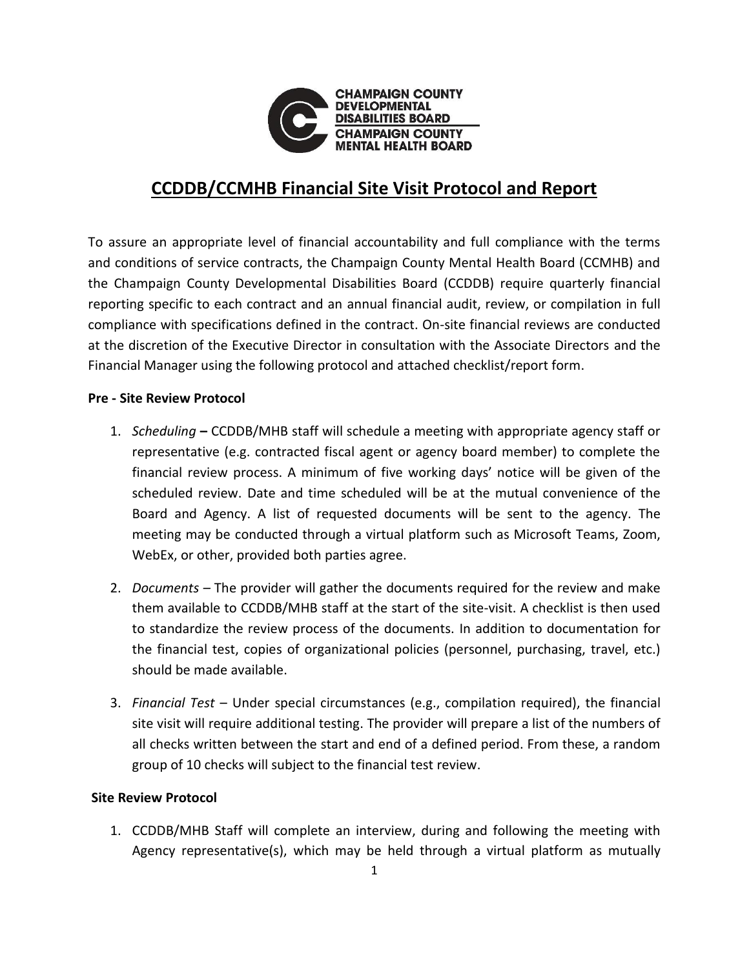

## **CCDDB/CCMHB Financial Site Visit Protocol and Report**

To assure an appropriate level of financial accountability and full compliance with the terms and conditions of service contracts, the Champaign County Mental Health Board (CCMHB) and the Champaign County Developmental Disabilities Board (CCDDB) require quarterly financial reporting specific to each contract and an annual financial audit, review, or compilation in full compliance with specifications defined in the contract. On-site financial reviews are conducted at the discretion of the Executive Director in consultation with the Associate Directors and the Financial Manager using the following protocol and attached checklist/report form.

## **Pre - Site Review Protocol**

- 1. *Scheduling* **–** CCDDB/MHB staff will schedule a meeting with appropriate agency staff or representative (e.g. contracted fiscal agent or agency board member) to complete the financial review process. A minimum of five working days' notice will be given of the scheduled review. Date and time scheduled will be at the mutual convenience of the Board and Agency. A list of requested documents will be sent to the agency. The meeting may be conducted through a virtual platform such as Microsoft Teams, Zoom, WebEx, or other, provided both parties agree.
- 2. *Documents –* The provider will gather the documents required for the review and make them available to CCDDB/MHB staff at the start of the site-visit. A checklist is then used to standardize the review process of the documents. In addition to documentation for the financial test, copies of organizational policies (personnel, purchasing, travel, etc.) should be made available.
- 3. *Financial Test* Under special circumstances (e.g., compilation required), the financial site visit will require additional testing. The provider will prepare a list of the numbers of all checks written between the start and end of a defined period. From these, a random group of 10 checks will subject to the financial test review.

## **Site Review Protocol**

1. CCDDB/MHB Staff will complete an interview, during and following the meeting with Agency representative(s), which may be held through a virtual platform as mutually